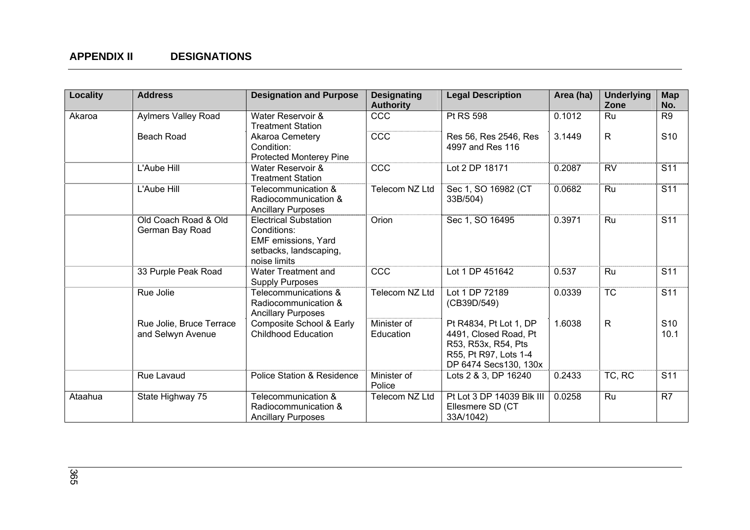| Locality | <b>Address</b>                                | <b>Designation and Purpose</b>                                                                               | <b>Designating</b><br><b>Authority</b> | <b>Legal Description</b>                                                                                                 | Area (ha) | <b>Underlying</b><br>Zone | <b>Map</b><br>No.       |
|----------|-----------------------------------------------|--------------------------------------------------------------------------------------------------------------|----------------------------------------|--------------------------------------------------------------------------------------------------------------------------|-----------|---------------------------|-------------------------|
| Akaroa   | <b>Aylmers Valley Road</b>                    | Water Reservoir &<br><b>Treatment Station</b>                                                                | CCC                                    | Pt RS 598                                                                                                                | 0.1012    | Ru                        | R9                      |
|          | <b>Beach Road</b>                             | Akaroa Cemetery<br>Condition:<br>Protected Monterey Pine                                                     | CCC                                    | Res 56, Res 2546, Res<br>4997 and Res 116                                                                                | 3.1449    | $\overline{R}$            | $\overline{S10}$        |
|          | L'Aube Hill                                   | Water Reservoir &<br><b>Treatment Station</b>                                                                | CCC                                    | Lot 2 DP 18171                                                                                                           | 0.2087    | <b>RV</b>                 | $\overline{S11}$        |
|          | L'Aube Hill                                   | Telecommunication &<br>Radiocommunication &<br><b>Ancillary Purposes</b>                                     | Telecom NZ Ltd                         | Sec 1, SO 16982 (CT<br>33B/504)                                                                                          | 0.0682    | Ru                        | S <sub>11</sub>         |
|          | Old Coach Road & Old<br>German Bay Road       | <b>Electrical Substation</b><br>Conditions:<br>EMF emissions, Yard<br>setbacks, landscaping,<br>noise limits | Orion                                  | Sec 1, SO 16495                                                                                                          | 0.3971    | Ru                        | S <sub>11</sub>         |
|          | 33 Purple Peak Road                           | Water Treatment and<br><b>Supply Purposes</b>                                                                | CCC                                    | Lot 1 DP 451642                                                                                                          | 0.537     | Ru                        | S <sub>11</sub>         |
|          | Rue Jolie                                     | Telecommunications &<br>Radiocommunication &<br><b>Ancillary Purposes</b>                                    | Telecom NZ Ltd                         | Lot 1 DP 72189<br>(CB39D/549)                                                                                            | 0.0339    | <b>TC</b>                 | S <sub>11</sub>         |
|          | Rue Jolie, Bruce Terrace<br>and Selwyn Avenue | Composite School & Early<br><b>Childhood Education</b>                                                       | Minister of<br>Education               | Pt R4834, Pt Lot 1, DP<br>4491, Closed Road, Pt<br>R53, R53x, R54, Pts<br>R55, Pt R97, Lots 1-4<br>DP 6474 Secs130, 130x | 1.6038    | $\mathsf{R}$              | S <sub>10</sub><br>10.1 |
|          | Rue Lavaud                                    | <b>Police Station &amp; Residence</b>                                                                        | Minister of<br>Police                  | Lots 2 & 3, DP 16240                                                                                                     | 0.2433    | TC, RC                    | S <sub>11</sub>         |
| Ataahua  | State Highway 75                              | Telecommunication &<br>Radiocommunication &<br><b>Ancillary Purposes</b>                                     | Telecom NZ Ltd                         | Pt Lot 3 DP 14039 Blk III<br>Ellesmere SD (CT<br>33A/1042)                                                               | 0.0258    | Ru                        | R7                      |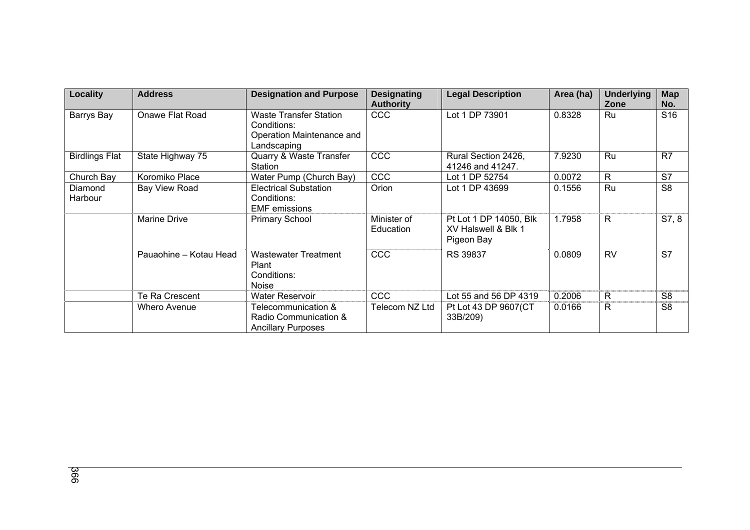| Locality              | <b>Address</b>         | <b>Designation and Purpose</b>                                                           | <b>Designating</b><br><b>Authority</b> | <b>Legal Description</b>                                    | Area (ha) | <b>Underlying</b><br>Zone | <b>Map</b><br>No. |
|-----------------------|------------------------|------------------------------------------------------------------------------------------|----------------------------------------|-------------------------------------------------------------|-----------|---------------------------|-------------------|
| Barrys Bay            | Onawe Flat Road        | <b>Waste Transfer Station</b><br>Conditions:<br>Operation Maintenance and<br>Landscaping | <b>CCC</b>                             | Lot 1 DP 73901                                              | 0.8328    | Ru                        | S <sub>16</sub>   |
| <b>Birdlings Flat</b> | State Highway 75       | Quarry & Waste Transfer<br>Station                                                       | CCC                                    | Rural Section 2426,<br>41246 and 41247.                     | 7.9230    | Ru                        | R <sub>7</sub>    |
| Church Bay            | Koromiko Place         | Water Pump (Church Bay)                                                                  | <b>CCC</b>                             | Lot 1 DP 52754                                              | 0.0072    | $\mathsf{R}$              | S7                |
| Diamond<br>Harbour    | Bay View Road          | <b>Electrical Substation</b><br>Conditions:<br><b>EMF</b> emissions                      | Orion                                  | Lot 1 DP 43699                                              | 0.1556    | Ru                        | S <sub>8</sub>    |
|                       | <b>Marine Drive</b>    | <b>Primary School</b>                                                                    | Minister of<br>Education               | Pt Lot 1 DP 14050, Blk<br>XV Halswell & Blk 1<br>Pigeon Bay | 1.7958    | R.                        | S7, 8             |
|                       | Pauaohine - Kotau Head | <b>Wastewater Treatment</b><br>Plant<br>Conditions:<br><b>Noise</b>                      | <b>CCC</b>                             | RS 39837                                                    | 0.0809    | <b>RV</b>                 | S7                |
|                       | Te Ra Crescent         | <b>Water Reservoir</b>                                                                   | <b>CCC</b>                             | Lot 55 and 56 DP 4319                                       | 0.2006    | $\mathsf{R}$              | S <sub>8</sub>    |
|                       | <b>Whero Avenue</b>    | Telecommunication &<br>Radio Communication &<br><b>Ancillary Purposes</b>                | Telecom NZ Ltd                         | Pt Lot 43 DP 9607(CT<br>33B/209)                            | 0.0166    | $\mathsf{R}$              | S <sub>8</sub>    |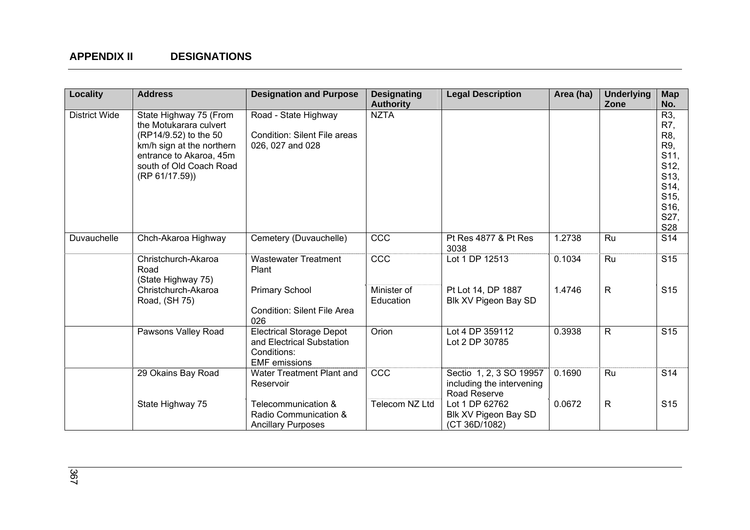| Locality             | <b>Address</b>                                                                                                                                                                 | <b>Designation and Purpose</b>                                                                      | <b>Designating</b><br><b>Authority</b> | <b>Legal Description</b>                                             | Area (ha) | <b>Underlying</b><br>Zone | <b>Map</b><br>No.                                                                                               |
|----------------------|--------------------------------------------------------------------------------------------------------------------------------------------------------------------------------|-----------------------------------------------------------------------------------------------------|----------------------------------------|----------------------------------------------------------------------|-----------|---------------------------|-----------------------------------------------------------------------------------------------------------------|
| <b>District Wide</b> | State Highway 75 (From<br>the Motukarara culvert<br>(RP14/9.52) to the 50<br>km/h sign at the northern<br>entrance to Akaroa, 45m<br>south of Old Coach Road<br>(RP 61/17.59)) | Road - State Highway<br><b>Condition: Silent File areas</b><br>026, 027 and 028                     | <b>NZTA</b>                            |                                                                      |           |                           | R3,<br>R7,<br>R <sub>8</sub><br>R9,<br>S11,<br>S12,<br>S13,<br>S14,<br>S <sub>15</sub> ,<br>S16,<br>S27,<br>S28 |
| Duvauchelle          | Chch-Akaroa Highway                                                                                                                                                            | Cemetery (Duvauchelle)                                                                              | CCC                                    | Pt Res 4877 & Pt Res<br>3038                                         | 1.2738    | Ru                        | S14                                                                                                             |
|                      | Christchurch-Akaroa<br>Road<br>(State Highway 75)                                                                                                                              | <b>Wastewater Treatment</b><br>Plant                                                                | CCC                                    | Lot 1 DP 12513                                                       | 0.1034    | <b>Ru</b>                 | S <sub>15</sub>                                                                                                 |
|                      | Christchurch-Akaroa<br>Road, (SH 75)                                                                                                                                           | <b>Primary School</b><br><b>Condition: Silent File Area</b><br>026                                  | Minister of<br>Education               | Pt Lot 14, DP 1887<br>Blk XV Pigeon Bay SD                           | 1.4746    | $\mathsf{R}$              | S <sub>15</sub>                                                                                                 |
|                      | Pawsons Valley Road                                                                                                                                                            | <b>Electrical Storage Depot</b><br>and Electrical Substation<br>Conditions:<br><b>EMF</b> emissions | Orion                                  | Lot 4 DP 359112<br>Lot 2 DP 30785                                    | 0.3938    | R                         | S <sub>15</sub>                                                                                                 |
|                      | 29 Okains Bay Road                                                                                                                                                             | Water Treatment Plant and<br>Reservoir                                                              | CCC                                    | Sectio 1, 2, 3 SO 19957<br>including the intervening<br>Road Reserve | 0.1690    | Ru                        | S14                                                                                                             |
|                      | State Highway 75                                                                                                                                                               | Telecommunication &<br>Radio Communication &<br><b>Ancillary Purposes</b>                           | Telecom NZ Ltd                         | Lot 1 DP 62762<br>Blk XV Pigeon Bay SD<br>(CT 36D/1082)              | 0.0672    | R.                        | S <sub>15</sub>                                                                                                 |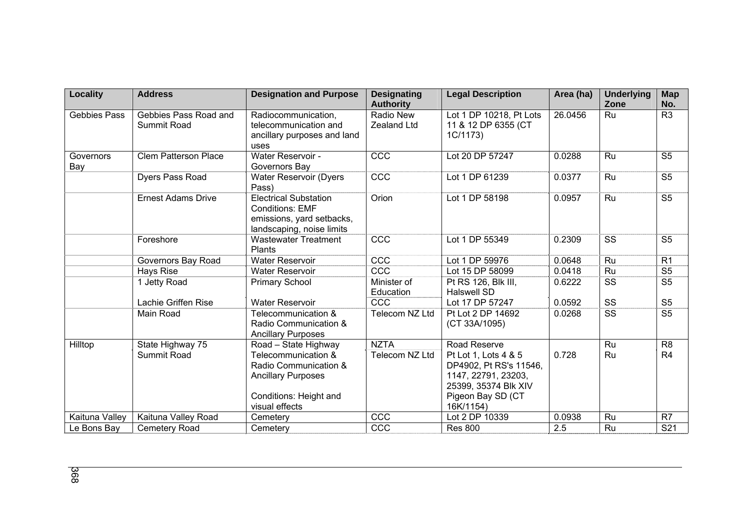| Locality            | <b>Address</b>                       | <b>Designation and Purpose</b>                                                                                        | <b>Designating</b><br><b>Authority</b> | <b>Legal Description</b>                                                                                                        | Area (ha) | <b>Underlying</b><br>Zone | <b>Map</b><br>No.      |
|---------------------|--------------------------------------|-----------------------------------------------------------------------------------------------------------------------|----------------------------------------|---------------------------------------------------------------------------------------------------------------------------------|-----------|---------------------------|------------------------|
| <b>Gebbies Pass</b> | Gebbies Pass Road and<br>Summit Road | Radiocommunication,<br>telecommunication and<br>ancillary purposes and land<br>uses                                   | Radio New<br>Zealand Ltd               | Lot 1 DP 10218, Pt Lots<br>11 & 12 DP 6355 (CT<br>1C/1173)                                                                      | 26.0456   | Ru                        | R <sub>3</sub>         |
| Governors<br>Bay    | <b>Clem Patterson Place</b>          | Water Reservoir -<br>Governors Bay                                                                                    | CCC                                    | Lot 20 DP 57247                                                                                                                 | 0.0288    | Ru                        | S <sub>5</sub>         |
|                     | <b>Dyers Pass Road</b>               | <b>Water Reservoir (Dyers</b><br>Pass)                                                                                | CCC                                    | Lot 1 DP 61239                                                                                                                  | 0.0377    | Ru                        | S <sub>5</sub>         |
|                     | <b>Ernest Adams Drive</b>            | <b>Electrical Substation</b><br><b>Conditions: EMF</b><br>emissions, yard setbacks,<br>landscaping, noise limits      | Orion                                  | Lot 1 DP 58198                                                                                                                  | 0.0957    | Ru                        | S <sub>5</sub>         |
|                     | Foreshore                            | <b>Wastewater Treatment</b><br>Plants                                                                                 | CCC                                    | Lot 1 DP 55349                                                                                                                  | 0.2309    | SS                        | S <sub>5</sub>         |
|                     | Governors Bay Road                   | <b>Water Reservoir</b>                                                                                                | CCC                                    | Lot 1 DP 59976                                                                                                                  | 0.0648    | Ru                        | R <sub>1</sub>         |
|                     | Hays Rise                            | <b>Water Reservoir</b>                                                                                                | CCC                                    | Lot 15 DP 58099                                                                                                                 | 0.0418    | Ru                        | S <sub>5</sub>         |
|                     | 1 Jetty Road                         | <b>Primary School</b>                                                                                                 | Minister of<br>Education               | Pt RS 126, Blk III,<br><b>Halswell SD</b>                                                                                       | 0.6222    | SS                        | S <sub>5</sub>         |
|                     | Lachie Griffen Rise                  | <b>Water Reservoir</b>                                                                                                | CCC                                    | Lot 17 DP 57247                                                                                                                 | 0.0592    | SS                        | S <sub>5</sub>         |
|                     | Main Road                            | Telecommunication &<br>Radio Communication &<br><b>Ancillary Purposes</b>                                             | Telecom NZ Ltd                         | Pt Lot 2 DP 14692<br>(CT 33A/1095)                                                                                              | 0.0268    | SS                        | $\overline{\text{S5}}$ |
| Hilltop             | State Highway 75                     | Road - State Highway                                                                                                  | <b>NZTA</b>                            | Road Reserve                                                                                                                    |           | Ru                        | R <sub>8</sub>         |
|                     | Summit Road                          | Telecommunication &<br>Radio Communication &<br><b>Ancillary Purposes</b><br>Conditions: Height and<br>visual effects | Telecom NZ Ltd                         | Pt Lot 1, Lots 4 & 5<br>DP4902, Pt RS's 11546,<br>1147, 22791, 23203,<br>25399, 35374 Blk XIV<br>Pigeon Bay SD (CT<br>16K/1154) | 0.728     | Ru                        | R <sub>4</sub>         |
| Kaituna Valley      | Kaituna Valley Road                  | Cemetery                                                                                                              | CCC                                    | Lot 2 DP 10339                                                                                                                  | 0.0938    | Ru                        | R <sub>7</sub>         |
| Le Bons Bay         | Cemetery Road                        | Cemetery                                                                                                              | CCC                                    | <b>Res 800</b>                                                                                                                  | 2.5       | Ru                        | S21                    |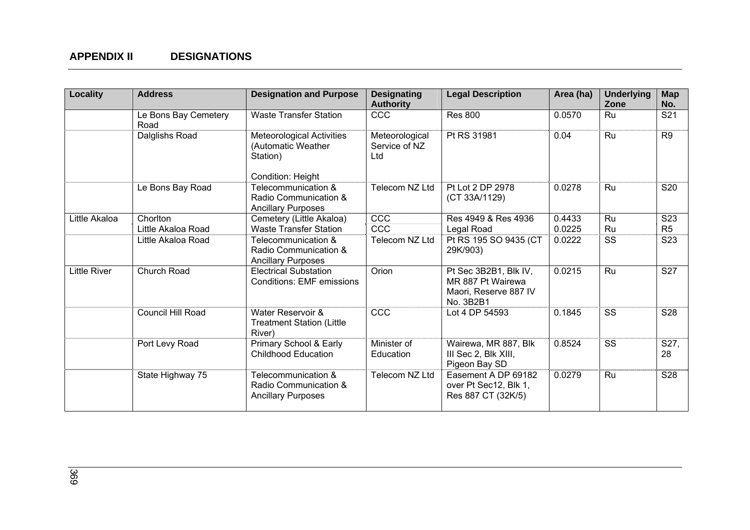| Locality            | <b>Address</b>               | <b>Designation and Purpose</b>                                                          | <b>Designating</b><br><b>Authority</b> | <b>Legal Description</b>                                                         | Area (ha) | <b>Underlying</b><br>Zone | <b>Map</b><br>No. |
|---------------------|------------------------------|-----------------------------------------------------------------------------------------|----------------------------------------|----------------------------------------------------------------------------------|-----------|---------------------------|-------------------|
|                     | Le Bons Bay Cemetery<br>Road | <b>Waste Transfer Station</b>                                                           | <b>CCC</b>                             | <b>Res 800</b>                                                                   | 0.0570    | Ru                        | S21               |
|                     | Dalglishs Road               | <b>Meteorological Activities</b><br>(Automatic Weather<br>Station)<br>Condition: Height | Meteorological<br>Service of NZ<br>Ltd | Pt RS 31981                                                                      | 0.04      | Ru                        | R <sub>9</sub>    |
|                     | Le Bons Bay Road             | Telecommunication &<br>Radio Communication &<br><b>Ancillary Purposes</b>               | Telecom NZ Ltd                         | Pt Lot 2 DP 2978<br>(CT 33A/1129)                                                | 0.0278    | <b>Ru</b>                 | <b>S20</b>        |
| Little Akaloa       | Chorlton                     | Cemetery (Little Akaloa)                                                                | CCC                                    | Res 4949 & Res 4936                                                              | 0.4433    | Ru                        | S <sub>23</sub>   |
|                     | Little Akaloa Road           | <b>Waste Transfer Station</b>                                                           | CCC                                    | Legal Road                                                                       | 0.0225    | Ru                        | R <sub>5</sub>    |
|                     | Little Akaloa Road           | Telecommunication &<br>Radio Communication &<br><b>Ancillary Purposes</b>               | Telecom NZ Ltd                         | Pt RS 195 SO 9435 (CT<br>29K/903)                                                | 0.0222    | SS                        | S <sub>23</sub>   |
| <b>Little River</b> | Church Road                  | <b>Electrical Substation</b><br><b>Conditions: EMF emissions</b>                        | Orion                                  | Pt Sec 3B2B1, Blk IV,<br>MR 887 Pt Wairewa<br>Maori, Reserve 887 IV<br>No. 3B2B1 | 0.0215    | Ru                        | <b>S27</b>        |
|                     | Council Hill Road            | Water Reservoir &<br><b>Treatment Station (Little</b><br>River)                         | CCC                                    | Lot 4 DP 54593                                                                   | 0.1845    | SS                        | <b>S28</b>        |
|                     | Port Levy Road               | Primary School & Early<br><b>Childhood Education</b>                                    | Minister of<br>Education               | Wairewa, MR 887, Blk<br>III Sec 2, Blk XIII,<br>Pigeon Bay SD                    | 0.8524    | <b>SS</b>                 | S27,<br>28        |
|                     | State Highway 75             | Telecommunication &<br>Radio Communication &<br><b>Ancillary Purposes</b>               | Telecom NZ Ltd                         | Easement A DP 69182<br>over Pt Sec12, Blk 1,<br>Res 887 CT (32K/5)               | 0.0279    | Ru                        | S28               |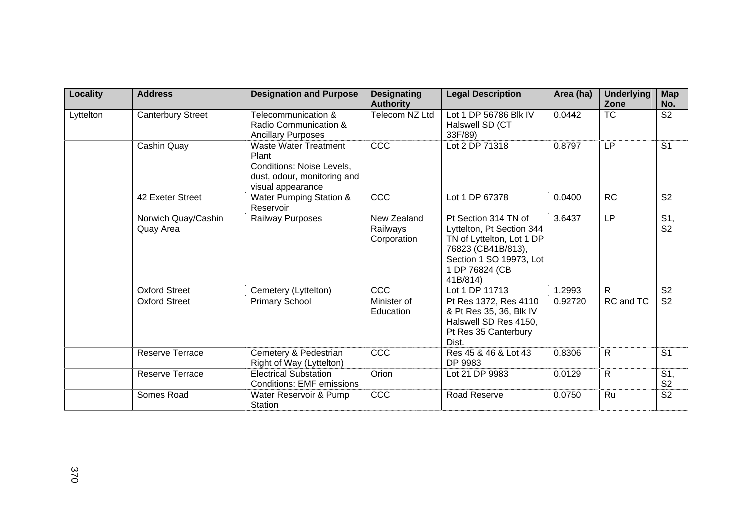| Locality  | <b>Address</b>                   | <b>Designation and Purpose</b>                                                                                         | <b>Designating</b><br><b>Authority</b> | <b>Legal Description</b>                                                                                                                                      | Area (ha) | <b>Underlying</b><br>Zone | <b>Map</b><br>No.     |
|-----------|----------------------------------|------------------------------------------------------------------------------------------------------------------------|----------------------------------------|---------------------------------------------------------------------------------------------------------------------------------------------------------------|-----------|---------------------------|-----------------------|
| Lyttelton | <b>Canterbury Street</b>         | Telecommunication &<br>Radio Communication &<br><b>Ancillary Purposes</b>                                              | Telecom NZ Ltd                         | Lot 1 DP 56786 Blk IV<br>Halswell SD (CT<br>33F/89)                                                                                                           | 0.0442    | <b>TC</b>                 | S <sub>2</sub>        |
|           | Cashin Quay                      | <b>Waste Water Treatment</b><br>Plant<br>Conditions: Noise Levels,<br>dust, odour, monitoring and<br>visual appearance | CCC                                    | Lot 2 DP 71318                                                                                                                                                | 0.8797    | <b>LP</b>                 | S <sub>1</sub>        |
|           | 42 Exeter Street                 | Water Pumping Station &<br>Reservoir                                                                                   | CCC                                    | Lot 1 DP 67378                                                                                                                                                | 0.0400    | <b>RC</b>                 | S <sub>2</sub>        |
|           | Norwich Quay/Cashin<br>Quay Area | Railway Purposes                                                                                                       | New Zealand<br>Railways<br>Corporation | Pt Section 314 TN of<br>Lyttelton, Pt Section 344<br>TN of Lyttelton, Lot 1 DP<br>76823 (CB41B/813),<br>Section 1 SO 19973, Lot<br>1 DP 76824 (CB<br>41B/814) | 3.6437    | <b>LP</b>                 | S1,<br>S <sub>2</sub> |
|           | <b>Oxford Street</b>             | Cemetery (Lyttelton)                                                                                                   | CCC                                    | Lot 1 DP 11713                                                                                                                                                | 1.2993    | $\mathsf{R}$              | S <sub>2</sub>        |
|           | <b>Oxford Street</b>             | <b>Primary School</b>                                                                                                  | Minister of<br>Education               | Pt Res 1372, Res 4110<br>& Pt Res 35, 36, Blk IV<br>Halswell SD Res 4150,<br>Pt Res 35 Canterbury<br>Dist.                                                    | 0.92720   | RC and TC                 | S <sub>2</sub>        |
|           | Reserve Terrace                  | Cemetery & Pedestrian<br>Right of Way (Lyttelton)                                                                      | CCC                                    | Res 45 & 46 & Lot 43<br>DP 9983                                                                                                                               | 0.8306    | $\mathsf{R}$              | S <sub>1</sub>        |
|           | <b>Reserve Terrace</b>           | <b>Electrical Substation</b><br><b>Conditions: EMF emissions</b>                                                       | Orion                                  | Lot 21 DP 9983                                                                                                                                                | 0.0129    | R                         | S1,<br>S <sub>2</sub> |
|           | Somes Road                       | Water Reservoir & Pump<br>Station                                                                                      | CCC                                    | <b>Road Reserve</b>                                                                                                                                           | 0.0750    | Ru                        | $\overline{S2}$       |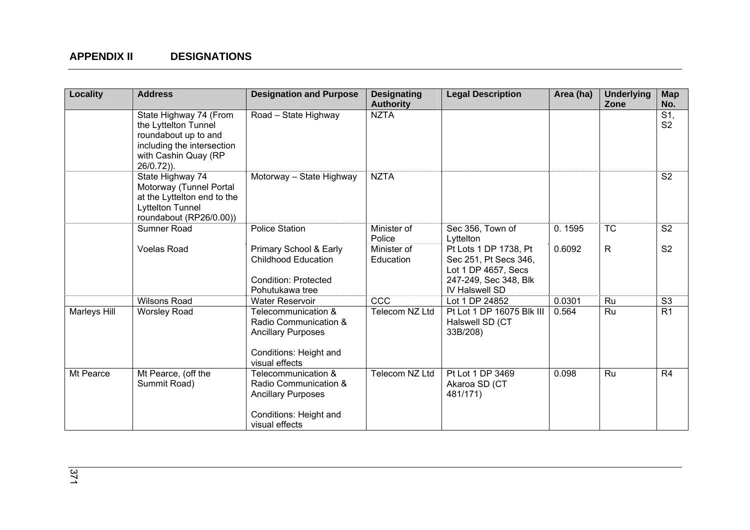| <b>Locality</b> | <b>Address</b>                                                                                                                             | <b>Designation and Purpose</b>                                                                                        | <b>Designating</b><br><b>Authority</b> | <b>Legal Description</b>                                                                                         | Area (ha) | <b>Underlying</b><br>Zone | <b>Map</b><br>No.                 |
|-----------------|--------------------------------------------------------------------------------------------------------------------------------------------|-----------------------------------------------------------------------------------------------------------------------|----------------------------------------|------------------------------------------------------------------------------------------------------------------|-----------|---------------------------|-----------------------------------|
|                 | State Highway 74 (From<br>the Lyttelton Tunnel<br>roundabout up to and<br>including the intersection<br>with Cashin Quay (RP<br>26/0.72)). | Road - State Highway                                                                                                  | <b>NZTA</b>                            |                                                                                                                  |           |                           | $\overline{S1}$<br>S <sub>2</sub> |
|                 | State Highway 74<br>Motorway (Tunnel Portal<br>at the Lyttelton end to the<br>Lyttelton Tunnel<br>roundabout (RP26/0.00))                  | Motorway - State Highway                                                                                              | <b>NZTA</b>                            |                                                                                                                  |           |                           | S <sub>2</sub>                    |
|                 | Sumner Road                                                                                                                                | <b>Police Station</b>                                                                                                 | Minister of<br>Police                  | Sec 356, Town of<br>Lyttelton                                                                                    | 0.1595    | <b>TC</b>                 | S <sub>2</sub>                    |
|                 | <b>Voelas Road</b>                                                                                                                         | Primary School & Early<br><b>Childhood Education</b><br><b>Condition: Protected</b><br>Pohutukawa tree                | Minister of<br>Education               | Pt Lots 1 DP 1738, Pt<br>Sec 251, Pt Secs 346,<br>Lot 1 DP 4657, Secs<br>247-249, Sec 348, Blk<br>IV Halswell SD | 0.6092    | $\mathsf{R}$              | S <sub>2</sub>                    |
|                 | <b>Wilsons Road</b>                                                                                                                        | <b>Water Reservoir</b>                                                                                                | <b>CCC</b>                             | Lot 1 DP 24852                                                                                                   | 0.0301    | Ru                        | S <sub>3</sub>                    |
| Marleys Hill    | <b>Worsley Road</b>                                                                                                                        | Telecommunication &<br>Radio Communication &<br><b>Ancillary Purposes</b><br>Conditions: Height and<br>visual effects | Telecom NZ Ltd                         | Pt Lot 1 DP 16075 Blk III<br>Halswell SD (CT<br>33B/208)                                                         | 0.564     | Ru                        | R1                                |
| Mt Pearce       | Mt Pearce, (off the<br>Summit Road)                                                                                                        | Telecommunication &<br>Radio Communication &<br><b>Ancillary Purposes</b><br>Conditions: Height and<br>visual effects | Telecom NZ Ltd                         | Pt Lot 1 DP 3469<br>Akaroa SD (CT<br>481/171)                                                                    | 0.098     | Ru                        | R <sub>4</sub>                    |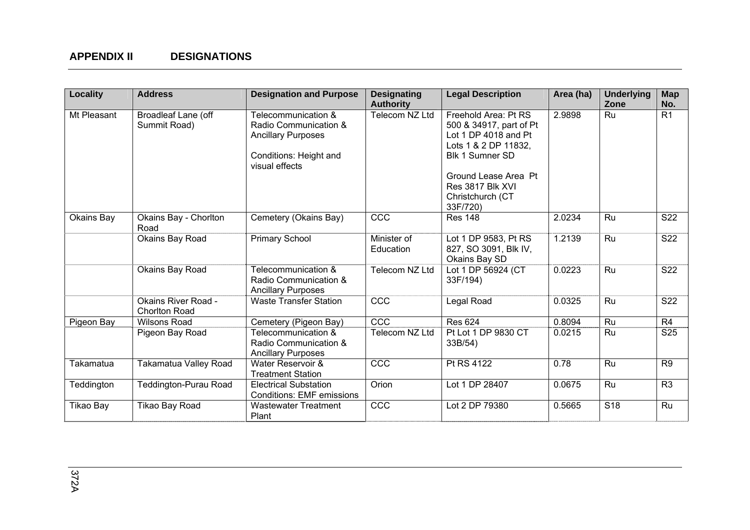| Locality         | <b>Address</b>                                     | <b>Designation and Purpose</b>                                                                                        | <b>Designating</b><br><b>Authority</b> | <b>Legal Description</b>                                                                                                                                                                       | Area (ha) | <b>Underlying</b><br>Zone | <b>Map</b><br>No. |
|------------------|----------------------------------------------------|-----------------------------------------------------------------------------------------------------------------------|----------------------------------------|------------------------------------------------------------------------------------------------------------------------------------------------------------------------------------------------|-----------|---------------------------|-------------------|
| Mt Pleasant      | Broadleaf Lane (off<br>Summit Road)                | Telecommunication &<br>Radio Communication &<br><b>Ancillary Purposes</b><br>Conditions: Height and<br>visual effects | Telecom NZ Ltd                         | Freehold Area: Pt RS<br>500 & 34917, part of Pt<br>Lot 1 DP 4018 and Pt<br>Lots 1 & 2 DP 11832,<br>Blk 1 Sumner SD<br>Ground Lease Area Pt<br>Res 3817 Blk XVI<br>Christchurch (CT<br>33F/720) | 2.9898    | Ru                        | R <sub>1</sub>    |
| Okains Bay       | Okains Bay - Chorlton<br>Road                      | Cemetery (Okains Bay)                                                                                                 | CCC                                    | <b>Res 148</b>                                                                                                                                                                                 | 2.0234    | Ru                        | $\overline{S22}$  |
|                  | Okains Bay Road                                    | <b>Primary School</b>                                                                                                 | Minister of<br>Education               | Lot 1 DP 9583, Pt RS<br>827, SO 3091, Blk IV,<br>Okains Bay SD                                                                                                                                 | 1.2139    | Ru                        | S22               |
|                  | Okains Bay Road                                    | Telecommunication &<br>Radio Communication &<br><b>Ancillary Purposes</b>                                             | Telecom NZ Ltd                         | Lot 1 DP 56924 (CT<br>33F/194)                                                                                                                                                                 | 0.0223    | Ru                        | S22               |
|                  | <b>Okains River Road -</b><br><b>Chorlton Road</b> | <b>Waste Transfer Station</b>                                                                                         | CCC                                    | Legal Road                                                                                                                                                                                     | 0.0325    | Ru                        | S22               |
| Pigeon Bay       | <b>Wilsons Road</b>                                | Cemetery (Pigeon Bay)                                                                                                 | CCC                                    | <b>Res 624</b>                                                                                                                                                                                 | 0.8094    | Ru                        | R <sub>4</sub>    |
|                  | Pigeon Bay Road                                    | Telecommunication &<br>Radio Communication &<br><b>Ancillary Purposes</b>                                             | Telecom NZ Ltd                         | Pt Lot 1 DP 9830 CT<br>33B/54)                                                                                                                                                                 | 0.0215    | Ru                        | S25               |
| <b>Takamatua</b> | Takamatua Valley Road                              | Water Reservoir &<br><b>Treatment Station</b>                                                                         | CCC                                    | Pt RS 4122                                                                                                                                                                                     | 0.78      | Ru                        | R <sub>9</sub>    |
| Teddington       | <b>Teddington-Purau Road</b>                       | <b>Electrical Substation</b><br><b>Conditions: EMF emissions</b>                                                      | Orion                                  | Lot 1 DP 28407                                                                                                                                                                                 | 0.0675    | Ru                        | R <sub>3</sub>    |
| <b>Tikao Bay</b> | Tikao Bay Road                                     | <b>Wastewater Treatment</b><br>Plant                                                                                  | CCC                                    | Lot 2 DP 79380                                                                                                                                                                                 | 0.5665    | S <sub>18</sub>           | Ru                |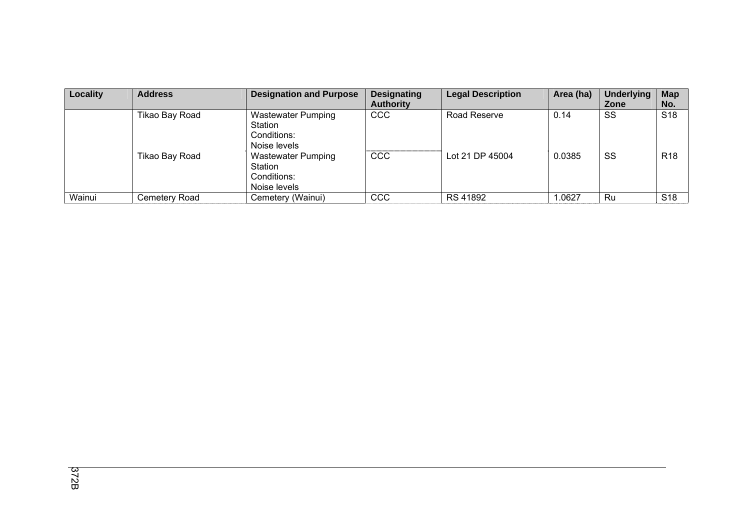| Locality | <b>Address</b> | <b>Designation and Purpose</b>                                      | <b>Designating</b><br><b>Authority</b> | <b>Legal Description</b> | Area (ha) | <b>Underlying</b><br>Zone | <b>Map</b><br>No. |
|----------|----------------|---------------------------------------------------------------------|----------------------------------------|--------------------------|-----------|---------------------------|-------------------|
|          | Tikao Bay Road | <b>Wastewater Pumping</b><br>Station<br>Conditions:<br>Noise levels | CCC                                    | Road Reserve             | 0.14      | SS                        | S <sub>18</sub>   |
|          | Tikao Bay Road | <b>Wastewater Pumping</b><br>Station<br>Conditions:<br>Noise levels | CCC                                    | Lot 21 DP 45004          | 0.0385    | SS                        | R <sub>18</sub>   |
| Wainui   | Cemetery Road  | Cemetery (Wainui)                                                   | CCC                                    | RS 41892                 | 1.0627    | Ru                        | S <sub>18</sub>   |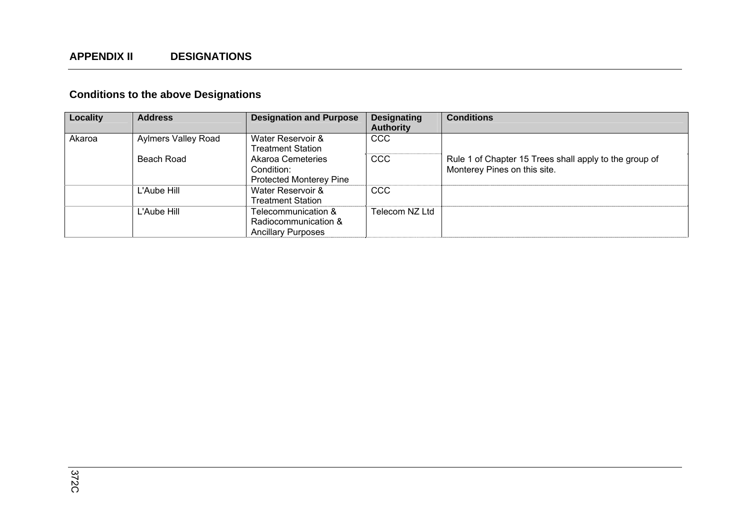# **Conditions to the above Designations**

| Locality | <b>Address</b>             | <b>Designation and Purpose</b> | <b>Designating</b> | <b>Conditions</b>                                      |
|----------|----------------------------|--------------------------------|--------------------|--------------------------------------------------------|
|          |                            |                                | <b>Authority</b>   |                                                        |
| Akaroa   | <b>Aylmers Valley Road</b> | Water Reservoir &              | <b>CCC</b>         |                                                        |
|          |                            | Treatment Station              |                    |                                                        |
|          | Beach Road                 | Akaroa Cemeteries              | <b>CCC</b>         | Rule 1 of Chapter 15 Trees shall apply to the group of |
|          |                            | Condition:                     |                    | Monterey Pines on this site.                           |
|          |                            | <b>Protected Monterey Pine</b> |                    |                                                        |
|          | L'Aube Hill                | Water Reservoir &              | <b>CCC</b>         |                                                        |
|          |                            | Treatment Station_             |                    |                                                        |
|          | L'Aube Hill                | Telecommunication &            | Telecom NZ Ltd     |                                                        |
|          |                            | Radiocommunication &           |                    |                                                        |
|          |                            | <b>Ancillary Purposes</b>      |                    |                                                        |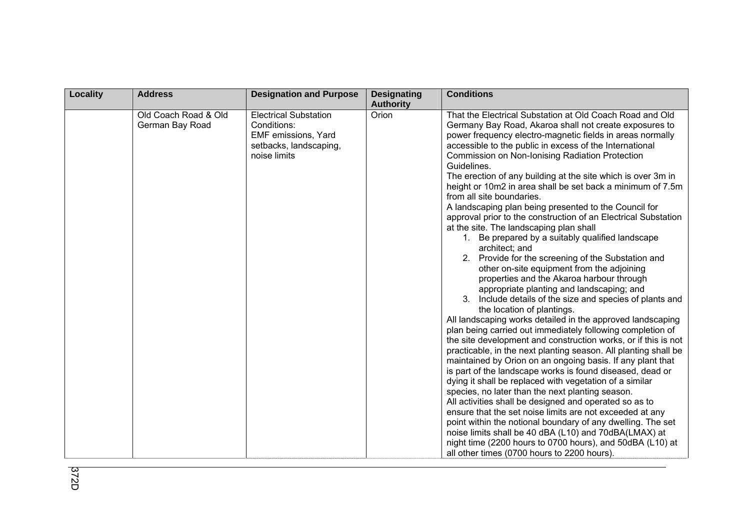| Locality | <b>Address</b>                          | <b>Designation and Purpose</b>                                                                               | <b>Designating</b><br><b>Authority</b> | <b>Conditions</b>                                                                                                                                                                                                                                                                                                                                                                                                                                                                                                                                                                                                                                                                                                                                                                                                                                                                                                                                                                                                                                                                                                                                                                                                                                                                                                                                                                                                                                                                                                                                                                                                                                                                                                                                                                                                                                                             |
|----------|-----------------------------------------|--------------------------------------------------------------------------------------------------------------|----------------------------------------|-------------------------------------------------------------------------------------------------------------------------------------------------------------------------------------------------------------------------------------------------------------------------------------------------------------------------------------------------------------------------------------------------------------------------------------------------------------------------------------------------------------------------------------------------------------------------------------------------------------------------------------------------------------------------------------------------------------------------------------------------------------------------------------------------------------------------------------------------------------------------------------------------------------------------------------------------------------------------------------------------------------------------------------------------------------------------------------------------------------------------------------------------------------------------------------------------------------------------------------------------------------------------------------------------------------------------------------------------------------------------------------------------------------------------------------------------------------------------------------------------------------------------------------------------------------------------------------------------------------------------------------------------------------------------------------------------------------------------------------------------------------------------------------------------------------------------------------------------------------------------------|
|          | Old Coach Road & Old<br>German Bay Road | <b>Electrical Substation</b><br>Conditions:<br>EMF emissions, Yard<br>setbacks, landscaping,<br>noise limits | Orion                                  | That the Electrical Substation at Old Coach Road and Old<br>Germany Bay Road, Akaroa shall not create exposures to<br>power frequency electro-magnetic fields in areas normally<br>accessible to the public in excess of the International<br>Commission on Non-Ionising Radiation Protection<br>Guidelines.<br>The erection of any building at the site which is over 3m in<br>height or 10m2 in area shall be set back a minimum of 7.5m<br>from all site boundaries.<br>A landscaping plan being presented to the Council for<br>approval prior to the construction of an Electrical Substation<br>at the site. The landscaping plan shall<br>1. Be prepared by a suitably qualified landscape<br>architect; and<br>2. Provide for the screening of the Substation and<br>other on-site equipment from the adjoining<br>properties and the Akaroa harbour through<br>appropriate planting and landscaping; and<br>Include details of the size and species of plants and<br>the location of plantings.<br>All landscaping works detailed in the approved landscaping<br>plan being carried out immediately following completion of<br>the site development and construction works, or if this is not<br>practicable, in the next planting season. All planting shall be<br>maintained by Orion on an ongoing basis. If any plant that<br>is part of the landscape works is found diseased, dead or<br>dying it shall be replaced with vegetation of a similar<br>species, no later than the next planting season.<br>All activities shall be designed and operated so as to<br>ensure that the set noise limits are not exceeded at any<br>point within the notional boundary of any dwelling. The set<br>noise limits shall be 40 dBA (L10) and 70dBA(LMAX) at<br>night time (2200 hours to 0700 hours), and 50dBA (L10) at<br>all other times (0700 hours to 2200 hours). |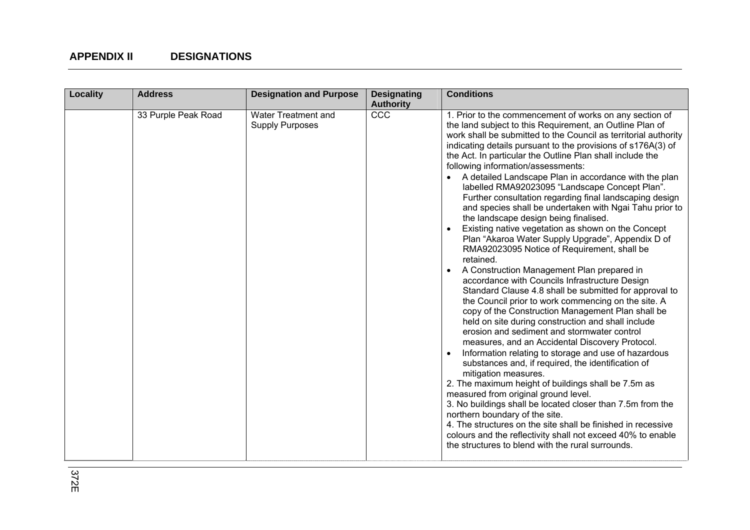| <b>Locality</b> | <b>Address</b>      | <b>Designation and Purpose</b>                | <b>Designating</b><br><b>Authority</b> | <b>Conditions</b>                                                                                                                                                                                                                                                                                                                                                                                                                                                                                                                                                                                                                                                                                                                                                                                                                                                                                                                                                                                                                                                                                                                                                                                                                                                                                                                                                                                                                                                                                                                                                                                                                                                                                                                                                 |
|-----------------|---------------------|-----------------------------------------------|----------------------------------------|-------------------------------------------------------------------------------------------------------------------------------------------------------------------------------------------------------------------------------------------------------------------------------------------------------------------------------------------------------------------------------------------------------------------------------------------------------------------------------------------------------------------------------------------------------------------------------------------------------------------------------------------------------------------------------------------------------------------------------------------------------------------------------------------------------------------------------------------------------------------------------------------------------------------------------------------------------------------------------------------------------------------------------------------------------------------------------------------------------------------------------------------------------------------------------------------------------------------------------------------------------------------------------------------------------------------------------------------------------------------------------------------------------------------------------------------------------------------------------------------------------------------------------------------------------------------------------------------------------------------------------------------------------------------------------------------------------------------------------------------------------------------|
|                 | 33 Purple Peak Road | Water Treatment and<br><b>Supply Purposes</b> | CCC                                    | 1. Prior to the commencement of works on any section of<br>the land subject to this Requirement, an Outline Plan of<br>work shall be submitted to the Council as territorial authority<br>indicating details pursuant to the provisions of s176A(3) of<br>the Act. In particular the Outline Plan shall include the<br>following information/assessments:<br>A detailed Landscape Plan in accordance with the plan<br>labelled RMA92023095 "Landscape Concept Plan".<br>Further consultation regarding final landscaping design<br>and species shall be undertaken with Ngai Tahu prior to<br>the landscape design being finalised.<br>Existing native vegetation as shown on the Concept<br>Plan "Akaroa Water Supply Upgrade", Appendix D of<br>RMA92023095 Notice of Requirement, shall be<br>retained.<br>A Construction Management Plan prepared in<br>accordance with Councils Infrastructure Design<br>Standard Clause 4.8 shall be submitted for approval to<br>the Council prior to work commencing on the site. A<br>copy of the Construction Management Plan shall be<br>held on site during construction and shall include<br>erosion and sediment and stormwater control<br>measures, and an Accidental Discovery Protocol.<br>Information relating to storage and use of hazardous<br>substances and, if required, the identification of<br>mitigation measures.<br>2. The maximum height of buildings shall be 7.5m as<br>measured from original ground level.<br>3. No buildings shall be located closer than 7.5m from the<br>northern boundary of the site.<br>4. The structures on the site shall be finished in recessive<br>colours and the reflectivity shall not exceed 40% to enable<br>the structures to blend with the rural surrounds. |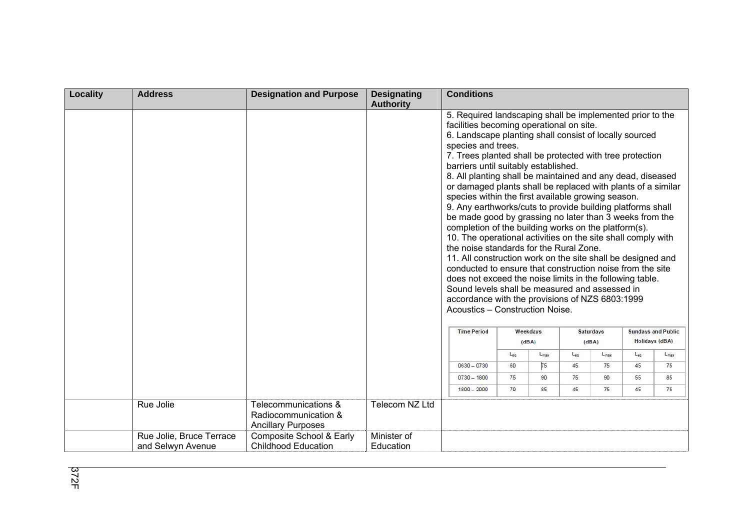| <b>Locality</b> | <b>Address</b>           | <b>Designation and Purpose</b>                                            | <b>Designating</b><br><b>Authority</b> | <b>Conditions</b>                                                                                                                                                                                                                                                                                                                                                                                                                                                                                                                                                                                                                                                                                                                                                                                                                                                                                                                                                                                                                                                                                         |     |                   |          |                           |          |                                                    |
|-----------------|--------------------------|---------------------------------------------------------------------------|----------------------------------------|-----------------------------------------------------------------------------------------------------------------------------------------------------------------------------------------------------------------------------------------------------------------------------------------------------------------------------------------------------------------------------------------------------------------------------------------------------------------------------------------------------------------------------------------------------------------------------------------------------------------------------------------------------------------------------------------------------------------------------------------------------------------------------------------------------------------------------------------------------------------------------------------------------------------------------------------------------------------------------------------------------------------------------------------------------------------------------------------------------------|-----|-------------------|----------|---------------------------|----------|----------------------------------------------------|
|                 |                          |                                                                           |                                        | 5. Required landscaping shall be implemented prior to the<br>facilities becoming operational on site.<br>6. Landscape planting shall consist of locally sourced<br>species and trees.<br>7. Trees planted shall be protected with tree protection<br>barriers until suitably established.<br>8. All planting shall be maintained and any dead, diseased<br>or damaged plants shall be replaced with plants of a similar<br>species within the first available growing season.<br>9. Any earthworks/cuts to provide building platforms shall<br>be made good by grassing no later than 3 weeks from the<br>completion of the building works on the platform(s).<br>10. The operational activities on the site shall comply with<br>the noise standards for the Rural Zone.<br>11. All construction work on the site shall be designed and<br>conducted to ensure that construction noise from the site<br>does not exceed the noise limits in the following table.<br>Sound levels shall be measured and assessed in<br>accordance with the provisions of NZS 6803:1999<br>Acoustics - Construction Noise. |     |                   |          |                           |          |                                                    |
|                 |                          |                                                                           |                                        | <b>Time Period</b>                                                                                                                                                                                                                                                                                                                                                                                                                                                                                                                                                                                                                                                                                                                                                                                                                                                                                                                                                                                                                                                                                        |     | Weekdays<br>(dBA) |          | <b>Saturdays</b><br>(dBA) |          | <b>Sundays and Public</b><br><b>Holidays (dBA)</b> |
|                 |                          |                                                                           |                                        |                                                                                                                                                                                                                                                                                                                                                                                                                                                                                                                                                                                                                                                                                                                                                                                                                                                                                                                                                                                                                                                                                                           | Lea | $L_{max}$         | $L_{ea}$ | $L_{\text{max}}$          | $L_{ea}$ | $L_{\text{max}}$                                   |
|                 |                          |                                                                           |                                        | $0630 - 0730$                                                                                                                                                                                                                                                                                                                                                                                                                                                                                                                                                                                                                                                                                                                                                                                                                                                                                                                                                                                                                                                                                             | 60  | 75                | 45       | 75                        | 45       | 75                                                 |
|                 |                          |                                                                           |                                        | $0730 - 1800$                                                                                                                                                                                                                                                                                                                                                                                                                                                                                                                                                                                                                                                                                                                                                                                                                                                                                                                                                                                                                                                                                             | 75  | 90                | 75       | 90                        | 55       | 85                                                 |
|                 |                          |                                                                           |                                        | $1800 - 2000$                                                                                                                                                                                                                                                                                                                                                                                                                                                                                                                                                                                                                                                                                                                                                                                                                                                                                                                                                                                                                                                                                             | 70  | 85                | 45       | 75                        | 45       | 75                                                 |
|                 | Rue Jolie                | Telecommunications &<br>Radiocommunication &<br><b>Ancillary Purposes</b> | Telecom NZ Ltd                         |                                                                                                                                                                                                                                                                                                                                                                                                                                                                                                                                                                                                                                                                                                                                                                                                                                                                                                                                                                                                                                                                                                           |     |                   |          |                           |          |                                                    |
|                 | Rue Jolie, Bruce Terrace | Composite School & Early                                                  | Minister of                            |                                                                                                                                                                                                                                                                                                                                                                                                                                                                                                                                                                                                                                                                                                                                                                                                                                                                                                                                                                                                                                                                                                           |     |                   |          |                           |          |                                                    |
|                 | and Selwyn Avenue        | <b>Childhood Education</b>                                                | Education                              |                                                                                                                                                                                                                                                                                                                                                                                                                                                                                                                                                                                                                                                                                                                                                                                                                                                                                                                                                                                                                                                                                                           |     |                   |          |                           |          |                                                    |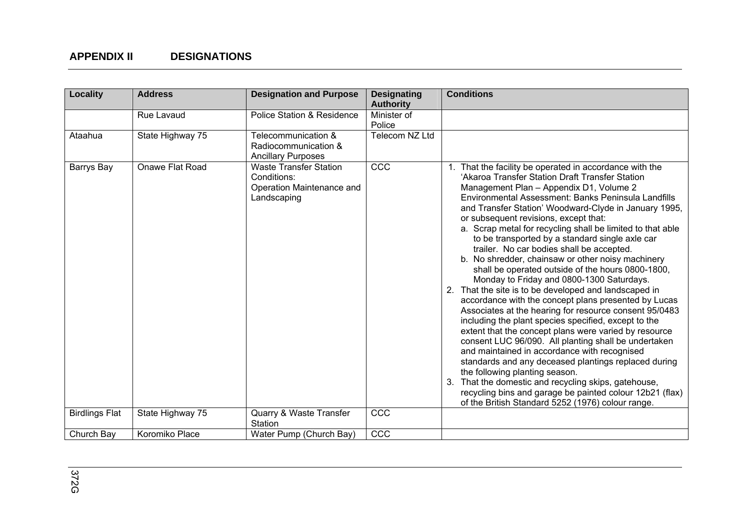| Locality              | <b>Address</b>   | <b>Designation and Purpose</b>                                                           | <b>Designating</b><br><b>Authority</b> | <b>Conditions</b>                                                                                                                                                                                                                                                                                                                                                                                                                                                                                                                                                                                                                                                                                                                                                                                                                                                                                                                                                                                                                                                                                                                                                                                                                                                                                             |
|-----------------------|------------------|------------------------------------------------------------------------------------------|----------------------------------------|---------------------------------------------------------------------------------------------------------------------------------------------------------------------------------------------------------------------------------------------------------------------------------------------------------------------------------------------------------------------------------------------------------------------------------------------------------------------------------------------------------------------------------------------------------------------------------------------------------------------------------------------------------------------------------------------------------------------------------------------------------------------------------------------------------------------------------------------------------------------------------------------------------------------------------------------------------------------------------------------------------------------------------------------------------------------------------------------------------------------------------------------------------------------------------------------------------------------------------------------------------------------------------------------------------------|
|                       | Rue Lavaud       | <b>Police Station &amp; Residence</b>                                                    | Minister of<br>Police                  |                                                                                                                                                                                                                                                                                                                                                                                                                                                                                                                                                                                                                                                                                                                                                                                                                                                                                                                                                                                                                                                                                                                                                                                                                                                                                                               |
| Ataahua               | State Highway 75 | Telecommunication &<br>Radiocommunication &<br><b>Ancillary Purposes</b>                 | Telecom NZ Ltd                         |                                                                                                                                                                                                                                                                                                                                                                                                                                                                                                                                                                                                                                                                                                                                                                                                                                                                                                                                                                                                                                                                                                                                                                                                                                                                                                               |
| Barrys Bay            | Onawe Flat Road  | <b>Waste Transfer Station</b><br>Conditions:<br>Operation Maintenance and<br>Landscaping | CCC                                    | 1. That the facility be operated in accordance with the<br>'Akaroa Transfer Station Draft Transfer Station<br>Management Plan - Appendix D1, Volume 2<br>Environmental Assessment: Banks Peninsula Landfills<br>and Transfer Station' Woodward-Clyde in January 1995,<br>or subsequent revisions, except that:<br>a. Scrap metal for recycling shall be limited to that able<br>to be transported by a standard single axle car<br>trailer. No car bodies shall be accepted.<br>b. No shredder, chainsaw or other noisy machinery<br>shall be operated outside of the hours 0800-1800,<br>Monday to Friday and 0800-1300 Saturdays.<br>2. That the site is to be developed and landscaped in<br>accordance with the concept plans presented by Lucas<br>Associates at the hearing for resource consent 95/0483<br>including the plant species specified, except to the<br>extent that the concept plans were varied by resource<br>consent LUC 96/090. All planting shall be undertaken<br>and maintained in accordance with recognised<br>standards and any deceased plantings replaced during<br>the following planting season.<br>That the domestic and recycling skips, gatehouse,<br>3.<br>recycling bins and garage be painted colour 12b21 (flax)<br>of the British Standard 5252 (1976) colour range. |
| <b>Birdlings Flat</b> | State Highway 75 | Quarry & Waste Transfer<br>Station                                                       | CCC                                    |                                                                                                                                                                                                                                                                                                                                                                                                                                                                                                                                                                                                                                                                                                                                                                                                                                                                                                                                                                                                                                                                                                                                                                                                                                                                                                               |
| Church Bay            | Koromiko Place   | Water Pump (Church Bay)                                                                  | CCC                                    |                                                                                                                                                                                                                                                                                                                                                                                                                                                                                                                                                                                                                                                                                                                                                                                                                                                                                                                                                                                                                                                                                                                                                                                                                                                                                                               |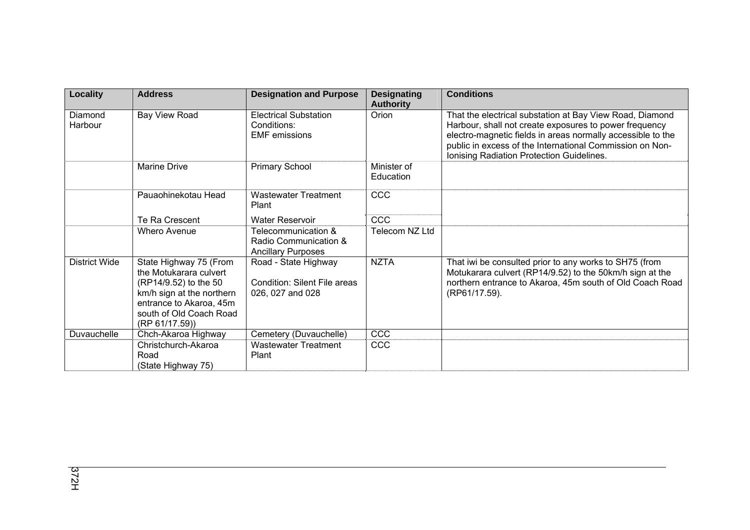| Locality             | <b>Address</b>                                                                                                                                                                | <b>Designation and Purpose</b>                                                  | <b>Designating</b><br><b>Authority</b> | <b>Conditions</b>                                                                                                                                                                                                                                                                          |
|----------------------|-------------------------------------------------------------------------------------------------------------------------------------------------------------------------------|---------------------------------------------------------------------------------|----------------------------------------|--------------------------------------------------------------------------------------------------------------------------------------------------------------------------------------------------------------------------------------------------------------------------------------------|
| Diamond<br>Harbour   | Bay View Road                                                                                                                                                                 | <b>Electrical Substation</b><br>Conditions:<br><b>EMF</b> emissions             | Orion                                  | That the electrical substation at Bay View Road, Diamond<br>Harbour, shall not create exposures to power frequency<br>electro-magnetic fields in areas normally accessible to the<br>public in excess of the International Commission on Non-<br>Ionising Radiation Protection Guidelines. |
|                      | <b>Marine Drive</b>                                                                                                                                                           | <b>Primary School</b>                                                           | Minister of<br>Education               |                                                                                                                                                                                                                                                                                            |
|                      | Pauaohinekotau Head                                                                                                                                                           | <b>Wastewater Treatment</b><br>Plant                                            | <b>CCC</b>                             |                                                                                                                                                                                                                                                                                            |
|                      | Te Ra Crescent                                                                                                                                                                | <b>Water Reservoir</b>                                                          | CCC                                    |                                                                                                                                                                                                                                                                                            |
|                      | <b>Whero Avenue</b>                                                                                                                                                           | Telecommunication &<br>Radio Communication &<br><b>Ancillary Purposes</b>       | Telecom NZ Ltd                         |                                                                                                                                                                                                                                                                                            |
| <b>District Wide</b> | State Highway 75 (From<br>the Motukarara culvert<br>(RP14/9.52) to the 50<br>km/h sign at the northern<br>entrance to Akaroa, 45m<br>south of Old Coach Road<br>(RP 61/17.59) | Road - State Highway<br><b>Condition: Silent File areas</b><br>026, 027 and 028 | <b>NZTA</b>                            | That iwi be consulted prior to any works to SH75 (from<br>Motukarara culvert (RP14/9.52) to the 50km/h sign at the<br>northern entrance to Akaroa, 45m south of Old Coach Road<br>(RP61/17.59).                                                                                            |
| Duvauchelle          | Chch-Akaroa Highway                                                                                                                                                           | Cemetery (Duvauchelle)                                                          | CCC                                    |                                                                                                                                                                                                                                                                                            |
|                      | Christchurch-Akaroa<br>Road<br>(State Highway 75)                                                                                                                             | <b>Wastewater Treatment</b><br>Plant                                            | <b>CCC</b>                             |                                                                                                                                                                                                                                                                                            |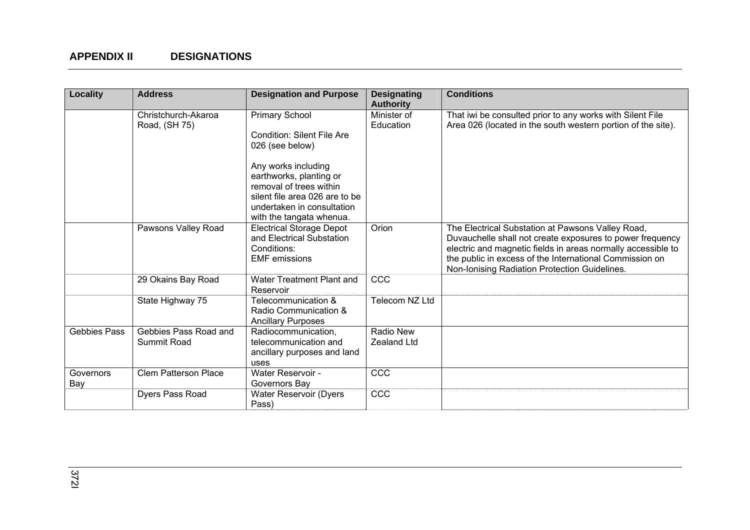| Locality            | <b>Address</b>                       | <b>Designation and Purpose</b>                                                                                                                                                                                                                         | <b>Designating</b><br><b>Authority</b> | <b>Conditions</b>                                                                                                                                                                                                                                                                          |
|---------------------|--------------------------------------|--------------------------------------------------------------------------------------------------------------------------------------------------------------------------------------------------------------------------------------------------------|----------------------------------------|--------------------------------------------------------------------------------------------------------------------------------------------------------------------------------------------------------------------------------------------------------------------------------------------|
|                     | Christchurch-Akaroa<br>Road, (SH 75) | <b>Primary School</b><br><b>Condition: Silent File Are</b><br>026 (see below)<br>Any works including<br>earthworks, planting or<br>removal of trees within<br>silent file area 026 are to be<br>undertaken in consultation<br>with the tangata whenua. | Minister of<br>Education               | That iwi be consulted prior to any works with Silent File<br>Area 026 (located in the south western portion of the site).                                                                                                                                                                  |
|                     | Pawsons Valley Road                  | <b>Electrical Storage Depot</b><br>and Electrical Substation<br>Conditions:<br><b>EMF</b> emissions                                                                                                                                                    | Orion                                  | The Electrical Substation at Pawsons Valley Road,<br>Duvauchelle shall not create exposures to power frequency<br>electric and magnetic fields in areas normally accessible to<br>the public in excess of the International Commission on<br>Non-Ionising Radiation Protection Guidelines. |
|                     | 29 Okains Bay Road                   | Water Treatment Plant and<br>Reservoir                                                                                                                                                                                                                 | CCC                                    |                                                                                                                                                                                                                                                                                            |
|                     | State Highway 75                     | Telecommunication &<br>Radio Communication &<br><b>Ancillary Purposes</b>                                                                                                                                                                              | Telecom NZ Ltd                         |                                                                                                                                                                                                                                                                                            |
| <b>Gebbies Pass</b> | Gebbies Pass Road and<br>Summit Road | Radiocommunication,<br>telecommunication and<br>ancillary purposes and land<br>uses                                                                                                                                                                    | <b>Radio New</b><br>Zealand Ltd        |                                                                                                                                                                                                                                                                                            |
| Governors<br>Bay    | <b>Clem Patterson Place</b>          | Water Reservoir -<br>Governors Bay                                                                                                                                                                                                                     | CCC                                    |                                                                                                                                                                                                                                                                                            |
|                     | Dyers Pass Road                      | Water Reservoir (Dyers<br>Pass)                                                                                                                                                                                                                        | CCC                                    |                                                                                                                                                                                                                                                                                            |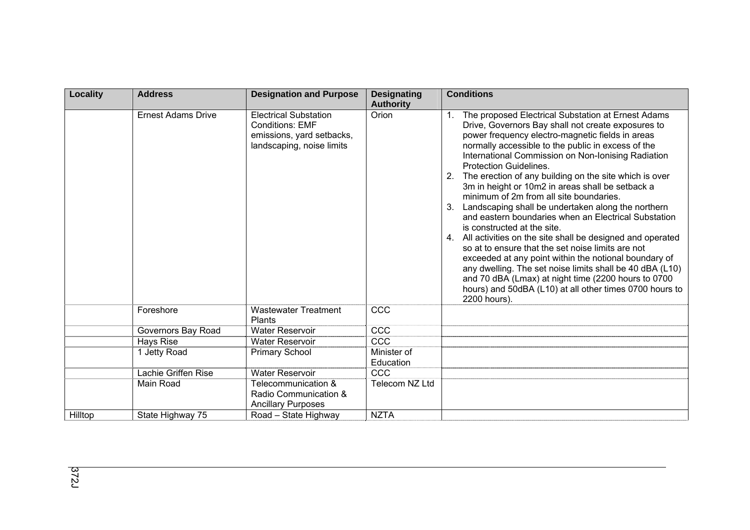| Locality | <b>Address</b>            | <b>Designation and Purpose</b>                                                                                   | <b>Designating</b><br><b>Authority</b> | <b>Conditions</b>                                                                                                                                                                                                                                                                                                                                                                                                                                                                                                                                                                                                                                                                                                                                                                                                                                                                                                                                                                                       |
|----------|---------------------------|------------------------------------------------------------------------------------------------------------------|----------------------------------------|---------------------------------------------------------------------------------------------------------------------------------------------------------------------------------------------------------------------------------------------------------------------------------------------------------------------------------------------------------------------------------------------------------------------------------------------------------------------------------------------------------------------------------------------------------------------------------------------------------------------------------------------------------------------------------------------------------------------------------------------------------------------------------------------------------------------------------------------------------------------------------------------------------------------------------------------------------------------------------------------------------|
|          | <b>Ernest Adams Drive</b> | <b>Electrical Substation</b><br><b>Conditions: EMF</b><br>emissions, yard setbacks,<br>landscaping, noise limits | Orion                                  | The proposed Electrical Substation at Ernest Adams<br>Drive, Governors Bay shall not create exposures to<br>power frequency electro-magnetic fields in areas<br>normally accessible to the public in excess of the<br>International Commission on Non-Ionising Radiation<br><b>Protection Guidelines.</b><br>The erection of any building on the site which is over<br>2.<br>3m in height or 10m2 in areas shall be setback a<br>minimum of 2m from all site boundaries.<br>Landscaping shall be undertaken along the northern<br>3.<br>and eastern boundaries when an Electrical Substation<br>is constructed at the site.<br>4. All activities on the site shall be designed and operated<br>so at to ensure that the set noise limits are not<br>exceeded at any point within the notional boundary of<br>any dwelling. The set noise limits shall be 40 dBA (L10)<br>and 70 dBA (Lmax) at night time (2200 hours to 0700<br>hours) and 50dBA (L10) at all other times 0700 hours to<br>2200 hours). |
|          | Foreshore                 | <b>Wastewater Treatment</b><br><b>Plants</b>                                                                     | CCC                                    |                                                                                                                                                                                                                                                                                                                                                                                                                                                                                                                                                                                                                                                                                                                                                                                                                                                                                                                                                                                                         |
|          | Governors Bay Road        | <b>Water Reservoir</b>                                                                                           | CCC                                    |                                                                                                                                                                                                                                                                                                                                                                                                                                                                                                                                                                                                                                                                                                                                                                                                                                                                                                                                                                                                         |
|          | Hays Rise                 | <b>Water Reservoir</b>                                                                                           | CCC                                    |                                                                                                                                                                                                                                                                                                                                                                                                                                                                                                                                                                                                                                                                                                                                                                                                                                                                                                                                                                                                         |
|          | 1 Jetty Road              | <b>Primary School</b>                                                                                            | Minister of<br>Education               |                                                                                                                                                                                                                                                                                                                                                                                                                                                                                                                                                                                                                                                                                                                                                                                                                                                                                                                                                                                                         |
|          | Lachie Griffen Rise       | <b>Water Reservoir</b>                                                                                           | CCC                                    |                                                                                                                                                                                                                                                                                                                                                                                                                                                                                                                                                                                                                                                                                                                                                                                                                                                                                                                                                                                                         |
|          | Main Road                 | Telecommunication &<br>Radio Communication &<br><b>Ancillary Purposes</b>                                        | Telecom NZ Ltd                         |                                                                                                                                                                                                                                                                                                                                                                                                                                                                                                                                                                                                                                                                                                                                                                                                                                                                                                                                                                                                         |
| Hilltop  | State Highway 75          | Road - State Highway                                                                                             | <b>NZTA</b>                            |                                                                                                                                                                                                                                                                                                                                                                                                                                                                                                                                                                                                                                                                                                                                                                                                                                                                                                                                                                                                         |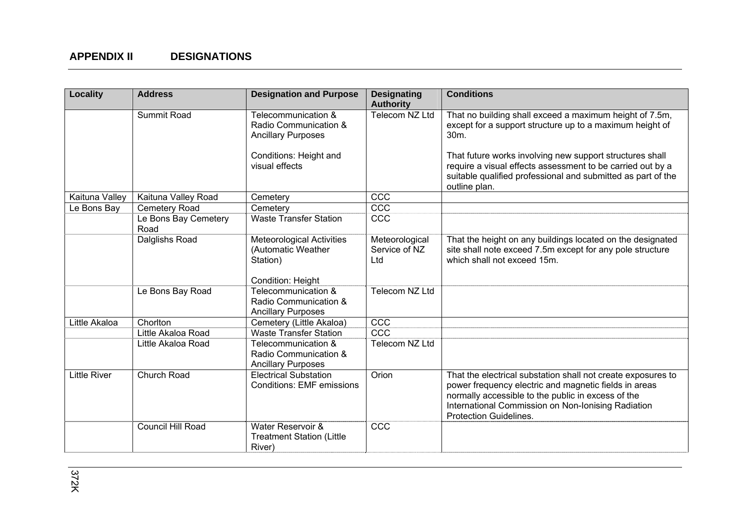| Locality            | <b>Address</b>               | <b>Designation and Purpose</b>                                                                      | <b>Designating</b><br><b>Authority</b> | <b>Conditions</b>                                                                                                                                                                                                                                                  |
|---------------------|------------------------------|-----------------------------------------------------------------------------------------------------|----------------------------------------|--------------------------------------------------------------------------------------------------------------------------------------------------------------------------------------------------------------------------------------------------------------------|
|                     | Summit Road                  | Telecommunication &<br>Radio Communication &<br><b>Ancillary Purposes</b><br>Conditions: Height and | Telecom NZ Ltd                         | That no building shall exceed a maximum height of 7.5m,<br>except for a support structure up to a maximum height of<br>30m.<br>That future works involving new support structures shall                                                                            |
|                     |                              | visual effects                                                                                      |                                        | require a visual effects assessment to be carried out by a<br>suitable qualified professional and submitted as part of the<br>outline plan.                                                                                                                        |
| Kaituna Valley      | Kaituna Valley Road          | Cemetery                                                                                            | CCC                                    |                                                                                                                                                                                                                                                                    |
| Le Bons Bay         | Cemetery Road                | Cemetery                                                                                            | CCC                                    |                                                                                                                                                                                                                                                                    |
|                     | Le Bons Bay Cemetery<br>Road | <b>Waste Transfer Station</b>                                                                       | CCC                                    |                                                                                                                                                                                                                                                                    |
|                     | Dalglishs Road               | <b>Meteorological Activities</b><br>(Automatic Weather<br>Station)<br>Condition: Height             | Meteorological<br>Service of NZ<br>Ltd | That the height on any buildings located on the designated<br>site shall note exceed 7.5m except for any pole structure<br>which shall not exceed 15m.                                                                                                             |
|                     | Le Bons Bay Road             | Telecommunication &<br>Radio Communication &<br><b>Ancillary Purposes</b>                           | Telecom NZ Ltd                         |                                                                                                                                                                                                                                                                    |
| Little Akaloa       | Chorlton                     | Cemetery (Little Akaloa)                                                                            | CCC                                    |                                                                                                                                                                                                                                                                    |
|                     | Little Akaloa Road           | <b>Waste Transfer Station</b>                                                                       | CCC                                    |                                                                                                                                                                                                                                                                    |
|                     | Little Akaloa Road           | Telecommunication &<br>Radio Communication &<br><b>Ancillary Purposes</b>                           | Telecom NZ Ltd                         |                                                                                                                                                                                                                                                                    |
| <b>Little River</b> | Church Road                  | <b>Electrical Substation</b><br><b>Conditions: EMF emissions</b>                                    | Orion                                  | That the electrical substation shall not create exposures to<br>power frequency electric and magnetic fields in areas<br>normally accessible to the public in excess of the<br>International Commission on Non-Ionising Radiation<br><b>Protection Guidelines.</b> |
|                     | Council Hill Road            | Water Reservoir &<br><b>Treatment Station (Little</b><br>River)                                     | CCC                                    |                                                                                                                                                                                                                                                                    |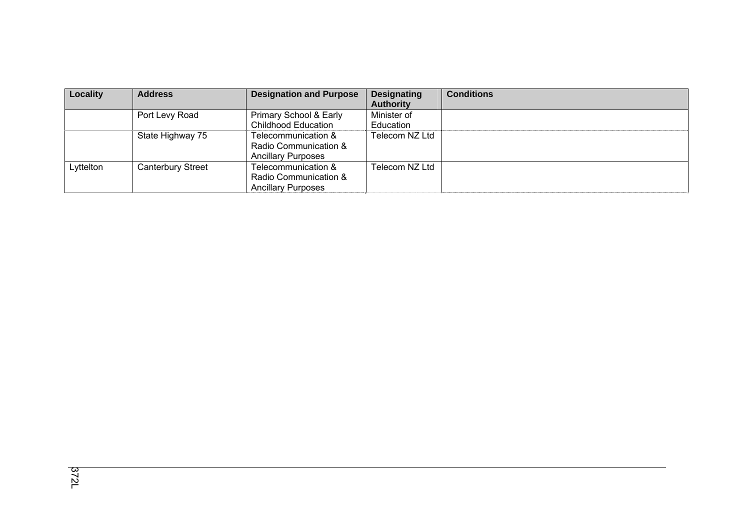| Locality  | <b>Address</b>           | <b>Designation and Purpose</b> | <b>Designating</b> | <b>Conditions</b> |
|-----------|--------------------------|--------------------------------|--------------------|-------------------|
|           |                          |                                | <b>Authority</b>   |                   |
|           | Port Levy Road           | Primary School & Early         | Minister of        |                   |
|           |                          | <b>Childhood Education</b>     | Education          |                   |
|           | State Highway 75         | Telecommunication &            | Telecom NZ Ltd     |                   |
|           |                          | Radio Communication &          |                    |                   |
|           |                          | <b>Ancillary Purposes</b>      |                    |                   |
| Lyttelton | <b>Canterbury Street</b> | Telecommunication &            | Telecom NZ Ltd     |                   |
|           |                          | Radio Communication &          |                    |                   |
|           |                          | <b>Ancillary Purposes</b>      |                    |                   |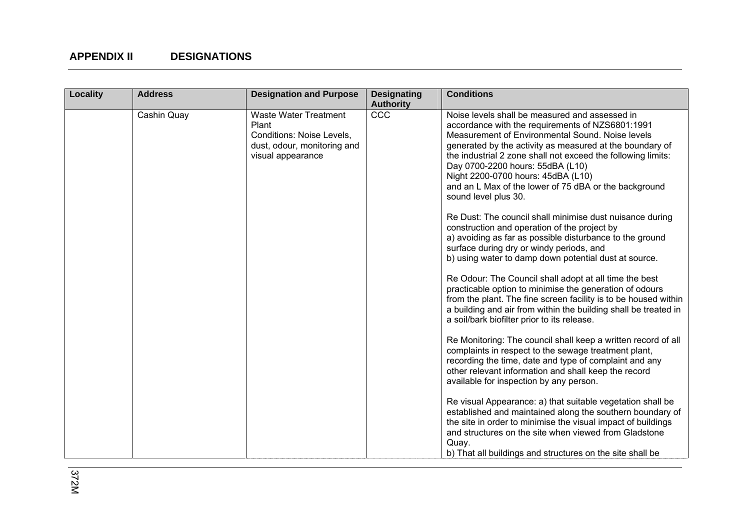| Locality | <b>Address</b> | <b>Designation and Purpose</b>                                                                                         | <b>Designating</b><br><b>Authority</b> | <b>Conditions</b>                                                                                                                                                                                                                                                                                                                                                                                                                             |
|----------|----------------|------------------------------------------------------------------------------------------------------------------------|----------------------------------------|-----------------------------------------------------------------------------------------------------------------------------------------------------------------------------------------------------------------------------------------------------------------------------------------------------------------------------------------------------------------------------------------------------------------------------------------------|
|          | Cashin Quay    | <b>Waste Water Treatment</b><br>Plant<br>Conditions: Noise Levels,<br>dust, odour, monitoring and<br>visual appearance | CCC                                    | Noise levels shall be measured and assessed in<br>accordance with the requirements of NZS6801:1991<br>Measurement of Environmental Sound. Noise levels<br>generated by the activity as measured at the boundary of<br>the industrial 2 zone shall not exceed the following limits:<br>Day 0700-2200 hours: 55dBA (L10)<br>Night 2200-0700 hours: 45dBA (L10)<br>and an L Max of the lower of 75 dBA or the background<br>sound level plus 30. |
|          |                |                                                                                                                        |                                        | Re Dust: The council shall minimise dust nuisance during<br>construction and operation of the project by<br>a) avoiding as far as possible disturbance to the ground<br>surface during dry or windy periods, and<br>b) using water to damp down potential dust at source.                                                                                                                                                                     |
|          |                |                                                                                                                        |                                        | Re Odour: The Council shall adopt at all time the best<br>practicable option to minimise the generation of odours<br>from the plant. The fine screen facility is to be housed within<br>a building and air from within the building shall be treated in<br>a soil/bark biofilter prior to its release.                                                                                                                                        |
|          |                |                                                                                                                        |                                        | Re Monitoring: The council shall keep a written record of all<br>complaints in respect to the sewage treatment plant,<br>recording the time, date and type of complaint and any<br>other relevant information and shall keep the record<br>available for inspection by any person.                                                                                                                                                            |
|          |                |                                                                                                                        |                                        | Re visual Appearance: a) that suitable vegetation shall be<br>established and maintained along the southern boundary of<br>the site in order to minimise the visual impact of buildings<br>and structures on the site when viewed from Gladstone<br>Quay.<br>b) That all buildings and structures on the site shall be                                                                                                                        |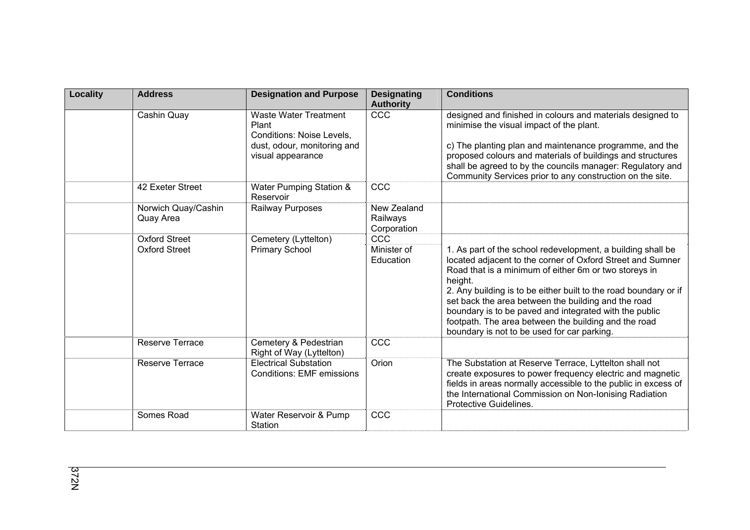| <b>Locality</b> | <b>Address</b>                   | <b>Designation and Purpose</b>                                                                                         | <b>Designating</b><br><b>Authority</b> | <b>Conditions</b>                                                                                                                                                                                                                                                                                                                                                                                                                                                                         |
|-----------------|----------------------------------|------------------------------------------------------------------------------------------------------------------------|----------------------------------------|-------------------------------------------------------------------------------------------------------------------------------------------------------------------------------------------------------------------------------------------------------------------------------------------------------------------------------------------------------------------------------------------------------------------------------------------------------------------------------------------|
|                 | Cashin Quay                      | <b>Waste Water Treatment</b><br>Plant<br>Conditions: Noise Levels,<br>dust, odour, monitoring and<br>visual appearance | CCC                                    | designed and finished in colours and materials designed to<br>minimise the visual impact of the plant.<br>c) The planting plan and maintenance programme, and the<br>proposed colours and materials of buildings and structures<br>shall be agreed to by the councils manager: Regulatory and<br>Community Services prior to any construction on the site.                                                                                                                                |
|                 | 42 Exeter Street                 | Water Pumping Station &<br>Reservoir                                                                                   | CCC                                    |                                                                                                                                                                                                                                                                                                                                                                                                                                                                                           |
|                 | Norwich Quay/Cashin<br>Quay Area | Railway Purposes                                                                                                       | New Zealand<br>Railways<br>Corporation |                                                                                                                                                                                                                                                                                                                                                                                                                                                                                           |
|                 | <b>Oxford Street</b>             | Cemetery (Lyttelton)                                                                                                   | CCC                                    |                                                                                                                                                                                                                                                                                                                                                                                                                                                                                           |
|                 | <b>Oxford Street</b>             | <b>Primary School</b>                                                                                                  | Minister of<br>Education               | 1. As part of the school redevelopment, a building shall be<br>located adjacent to the corner of Oxford Street and Sumner<br>Road that is a minimum of either 6m or two storeys in<br>height.<br>2. Any building is to be either built to the road boundary or if<br>set back the area between the building and the road<br>boundary is to be paved and integrated with the public<br>footpath. The area between the building and the road<br>boundary is not to be used for car parking. |
|                 | Reserve Terrace                  | Cemetery & Pedestrian<br>Right of Way (Lyttelton)                                                                      | CCC                                    |                                                                                                                                                                                                                                                                                                                                                                                                                                                                                           |
|                 | <b>Reserve Terrace</b>           | <b>Electrical Substation</b><br><b>Conditions: EMF emissions</b>                                                       | Orion                                  | The Substation at Reserve Terrace, Lyttelton shall not<br>create exposures to power frequency electric and magnetic<br>fields in areas normally accessible to the public in excess of<br>the International Commission on Non-Ionising Radiation<br>Protective Guidelines.                                                                                                                                                                                                                 |
|                 | Somes Road                       | Water Reservoir & Pump<br>Station                                                                                      | CCC                                    |                                                                                                                                                                                                                                                                                                                                                                                                                                                                                           |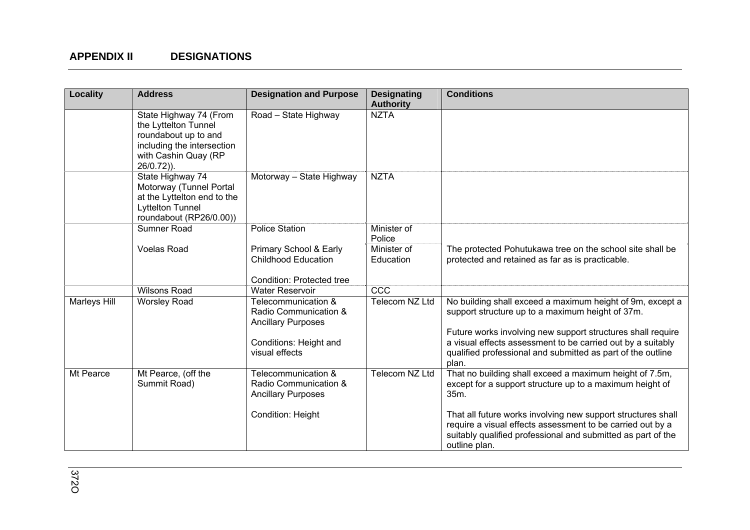| Locality     | <b>Address</b>                                                                                                                                | <b>Designation and Purpose</b>                                                                                        | <b>Designating</b><br><b>Authority</b> | <b>Conditions</b>                                                                                                                                                                                                                                                                                                   |
|--------------|-----------------------------------------------------------------------------------------------------------------------------------------------|-----------------------------------------------------------------------------------------------------------------------|----------------------------------------|---------------------------------------------------------------------------------------------------------------------------------------------------------------------------------------------------------------------------------------------------------------------------------------------------------------------|
|              | State Highway 74 (From<br>the Lyttelton Tunnel<br>roundabout up to and<br>including the intersection<br>with Cashin Quay (RP<br>$26/0.72$ )). | Road - State Highway                                                                                                  | <b>NZTA</b>                            |                                                                                                                                                                                                                                                                                                                     |
|              | State Highway 74<br>Motorway (Tunnel Portal<br>at the Lyttelton end to the<br><b>Lyttelton Tunnel</b><br>roundabout (RP26/0.00))              | Motorway - State Highway                                                                                              | <b>NZTA</b>                            |                                                                                                                                                                                                                                                                                                                     |
|              | Sumner Road                                                                                                                                   | <b>Police Station</b>                                                                                                 | Minister of<br>Police                  |                                                                                                                                                                                                                                                                                                                     |
|              | <b>Voelas Road</b>                                                                                                                            | Primary School & Early<br><b>Childhood Education</b><br>Condition: Protected tree                                     | Minister of<br>Education               | The protected Pohutukawa tree on the school site shall be<br>protected and retained as far as is practicable.                                                                                                                                                                                                       |
|              | <b>Wilsons Road</b>                                                                                                                           | <b>Water Reservoir</b>                                                                                                | CCC                                    |                                                                                                                                                                                                                                                                                                                     |
| Marleys Hill | <b>Worsley Road</b>                                                                                                                           | Telecommunication &<br>Radio Communication &<br><b>Ancillary Purposes</b><br>Conditions: Height and<br>visual effects | Telecom NZ Ltd                         | No building shall exceed a maximum height of 9m, except a<br>support structure up to a maximum height of 37m.<br>Future works involving new support structures shall require<br>a visual effects assessment to be carried out by a suitably<br>qualified professional and submitted as part of the outline<br>plan. |
| Mt Pearce    | Mt Pearce, (off the<br>Summit Road)                                                                                                           | Telecommunication &<br>Radio Communication &<br><b>Ancillary Purposes</b>                                             | Telecom NZ Ltd                         | That no building shall exceed a maximum height of 7.5m,<br>except for a support structure up to a maximum height of<br>35m.                                                                                                                                                                                         |
|              |                                                                                                                                               | Condition: Height                                                                                                     |                                        | That all future works involving new support structures shall<br>require a visual effects assessment to be carried out by a<br>suitably qualified professional and submitted as part of the<br>outline plan.                                                                                                         |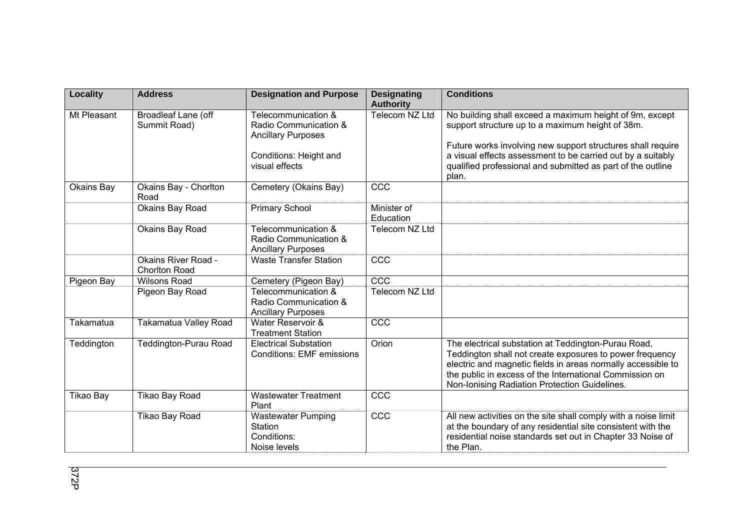| <b>Locality</b>  | <b>Address</b>                                     | <b>Designation and Purpose</b>                                            | <b>Designating</b><br><b>Authority</b> | <b>Conditions</b>                                                                                                                                                                                                                                                                           |
|------------------|----------------------------------------------------|---------------------------------------------------------------------------|----------------------------------------|---------------------------------------------------------------------------------------------------------------------------------------------------------------------------------------------------------------------------------------------------------------------------------------------|
| Mt Pleasant      | Broadleaf Lane (off<br>Summit Road)                | Telecommunication &<br>Radio Communication &<br><b>Ancillary Purposes</b> | <b>Telecom NZ Ltd</b>                  | No building shall exceed a maximum height of 9m, except<br>support structure up to a maximum height of 38m.                                                                                                                                                                                 |
|                  |                                                    | Conditions: Height and<br>visual effects                                  |                                        | Future works involving new support structures shall require<br>a visual effects assessment to be carried out by a suitably<br>qualified professional and submitted as part of the outline<br>plan.                                                                                          |
| Okains Bay       | Okains Bay - Chorlton<br>Road                      | Cemetery (Okains Bay)                                                     | CCC                                    |                                                                                                                                                                                                                                                                                             |
|                  | Okains Bay Road                                    | <b>Primary School</b>                                                     | Minister of<br>Education               |                                                                                                                                                                                                                                                                                             |
|                  | Okains Bay Road                                    | Telecommunication &<br>Radio Communication &<br><b>Ancillary Purposes</b> | Telecom NZ Ltd                         |                                                                                                                                                                                                                                                                                             |
|                  | <b>Okains River Road -</b><br><b>Chorlton Road</b> | <b>Waste Transfer Station</b>                                             | CCC                                    |                                                                                                                                                                                                                                                                                             |
| Pigeon Bay       | <b>Wilsons Road</b>                                | Cemetery (Pigeon Bay)                                                     | CCC                                    |                                                                                                                                                                                                                                                                                             |
|                  | Pigeon Bay Road                                    | Telecommunication &<br>Radio Communication &<br><b>Ancillary Purposes</b> | Telecom NZ Ltd                         |                                                                                                                                                                                                                                                                                             |
| Takamatua        | Takamatua Valley Road                              | Water Reservoir &<br><b>Treatment Station</b>                             | CCC                                    |                                                                                                                                                                                                                                                                                             |
| Teddington       | <b>Teddington-Purau Road</b>                       | <b>Electrical Substation</b><br><b>Conditions: EMF emissions</b>          | Orion                                  | The electrical substation at Teddington-Purau Road,<br>Teddington shall not create exposures to power frequency<br>electric and magnetic fields in areas normally accessible to<br>the public in excess of the International Commission on<br>Non-Ionising Radiation Protection Guidelines. |
| <b>Tikao Bay</b> | Tikao Bay Road                                     | <b>Wastewater Treatment</b><br>Plant                                      | CCC                                    |                                                                                                                                                                                                                                                                                             |
|                  | Tikao Bay Road                                     | <b>Wastewater Pumping</b><br>Station<br>Conditions:<br>Noise levels       | CCC                                    | All new activities on the site shall comply with a noise limit<br>at the boundary of any residential site consistent with the<br>residential noise standards set out in Chapter 33 Noise of<br>the Plan.                                                                                    |